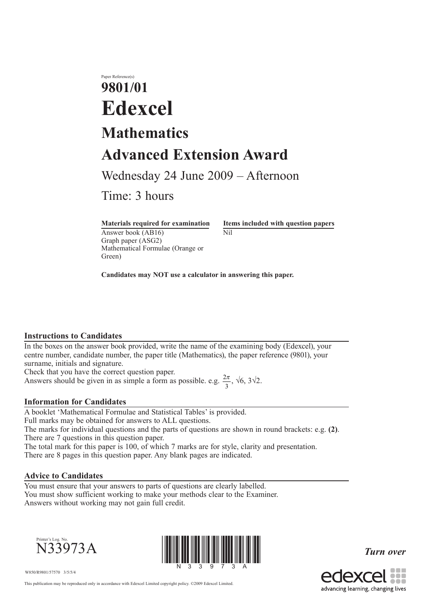# Paper Reference(s) **9801/01 Edexcel Mathematics Advanced Extension Award**

Wednesday 24 June 2009 – Afternoon

Time: 3 hours

**Materials required for examination Items included with question papers**

Answer book (AB16) Nil Graph paper (ASG2) Mathematical Formulae (Orange or Green)

**Candidates may NOT use a calculator in answering this paper.**

### **Instructions to Candidates**

In the boxes on the answer book provided, write the name of the examining body (Edexcel), your centre number, candidate number, the paper title (Mathematics), the paper reference (9801), your surname, initials and signature.

Check that you have the correct question paper.

Answers should be given in as simple a form as possible. e.g.  $\frac{2\pi}{3}$ ,  $\sqrt{6}$ ,  $3\sqrt{2}$ .

### **Information for Candidates**

A booklet 'Mathematical Formulae and Statistical Tables' is provided. Full marks may be obtained for answers to ALL questions.

The marks for individual questions and the parts of questions are shown in round brackets: e.g. **(2)**. There are 7 questions in this question paper.

The total mark for this paper is 100, of which 7 marks are for style, clarity and presentation.

There are 8 pages in this question paper. Any blank pages are indicated.

### **Advice to Candidates**

You must ensure that your answers to parts of questions are clearly labelled. You must show sufficient working to make your methods clear to the Examiner. Answers without working may not gain full credit.





*Turn over*



W850/R9801/57570 3/5/5/4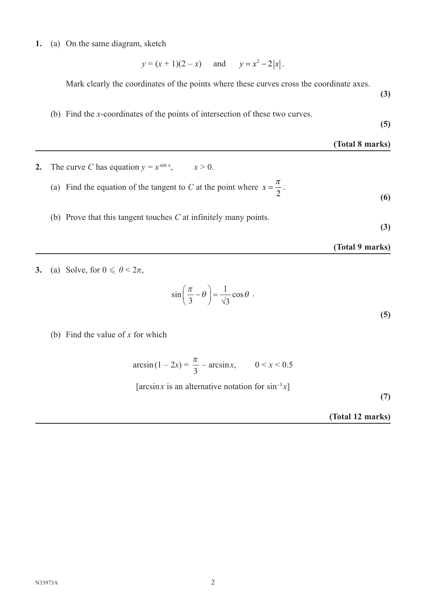**1.** (a) On the same diagram, sketch

 $y = (x + 1)(2 - x)$  and  $y = x^2 - 2|x|$ .

Mark clearly the coordinates of the points where these curves cross the coordinate axes.

**(3)**

(b) Find the *x*-coordinates of the points of intersection of these two curves.

**(5)**

**(Total 8 marks)**

- **2.** The curve *C* has equation  $y = x^{\sin x}$ ,  $x > 0$ . (a) Find the equation of the tangent to *C* at the point where  $x = \frac{\pi}{2}$ 2 . **(6)**
	- (b) Prove that this tangent touches *C* at infinitely many points.

**(3)**

**(Total 9 marks)**

**3.** (a) Solve, for  $0 \le \theta \le 2\pi$ ,

$$
\sin\left(\frac{\pi}{3} - \theta\right) = \frac{1}{\sqrt{3}} \cos \theta.
$$

(b) Find the value of *x* for which

$$
\arcsin(1 - 2x) = \frac{\pi}{3} - \arcsin x, \qquad 0 < x < 0.5
$$

[ $arcsin x$  is an alternative notation for  $sin^{-1}x$ ]

**(7)**

**(5)**

**(Total 12 marks)**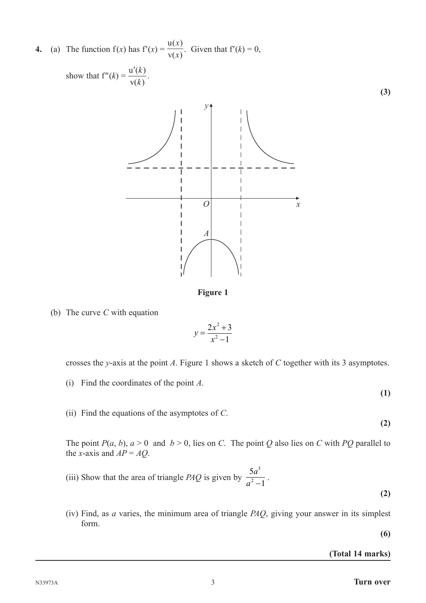**4.** (a) The function  $f(x)$  has  $f'(x) =$ u  $\overline{v(x)}$ *x*  $\frac{f(x)}{f(x)}$ . Given that  $f'(k) = 0$ ,

show that 
$$
f''(k) = \frac{u'(k)}{v(k)}.
$$
 (3)



**Figure 1**

(b) The curve *C* with equation

$$
y = \frac{2x^2 + 3}{x^2 - 1}
$$

crosses the *y*-axis at the point *A*. Figure 1 shows a sketch of *C* together with its 3 asymptotes.

- (i) Find the coordinates of the point *A*.
- (ii) Find the equations of the asymptotes of *C*.

**(2)**

**(1)**

The point  $P(a, b)$ ,  $a > 0$  and  $b > 0$ , lies on *C*. The point *Q* also lies on *C* with *PQ* parallel to the *x*-axis and  $AP = AQ$ .

(iii) Show that the area of triangle *PAQ* is given by 
$$
\frac{5a^3}{a^2 - 1}
$$
 (2)

(iv) Find, as *a* varies, the minimum area of triangle *PAQ*, giving your answer in its simplest form.

**(6)**

#### **(Total 14 marks)**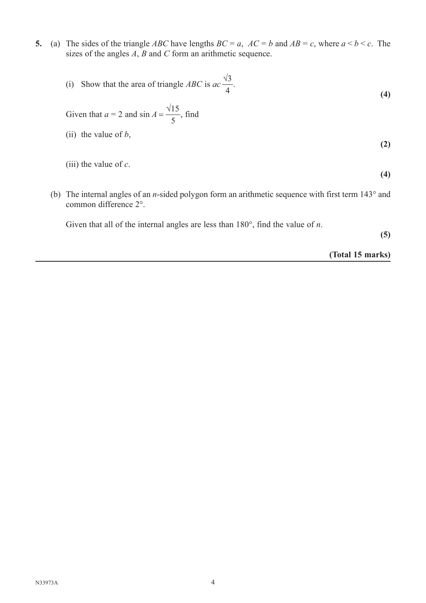**5.** (a) The sides of the triangle *ABC* have lengths  $BC = a$ ,  $AC = b$  and  $AB = c$ , where  $a < b < c$ . The sizes of the angles *A*, *B* and *C* form an arithmetic sequence.

(i) Show that the area of triangle *ABC* is 
$$
ac \frac{\sqrt{3}}{4}
$$
. (4)

Given that  $a = 2$  and  $\sin A = \frac{\sqrt{15}}{5}$ , find

(ii) the value of *b*,

 $(iii)$  the value of  $c$ .

**(4)**

**(2)**

(b) The internal angles of an *n*-sided polygon form an arithmetic sequence with first term 143° and common difference 2°.

Given that all of the internal angles are less than 180°, find the value of *n*.

**(5)**

**(Total 15 marks)**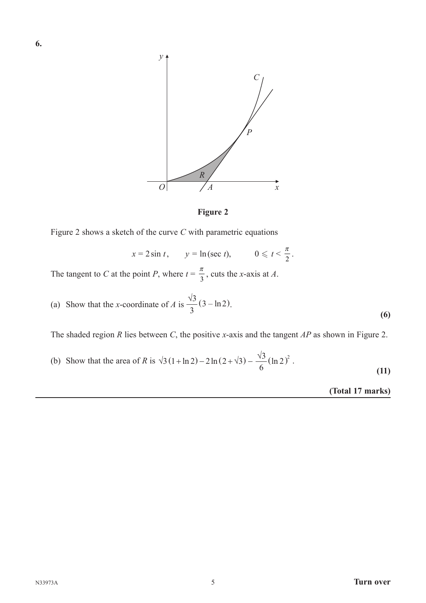

**Figure 2**

Figure 2 shows a sketch of the curve *C* with parametric equations

$$
x = 2\sin t, \qquad y = \ln(\sec t), \qquad 0 \leqslant t < \frac{\pi}{2}.
$$

The tangent to *C* at the point *P*, where  $t = \frac{\pi}{3}$ , cuts the *x*-axis at *A*.

(a) Show that the *x*-coordinate of *A* is  $\frac{\sqrt{3}}{3}(3 - \ln 2)$ . **(6)**

The shaded region *R* lies between *C*, the positive *x*-axis and the tangent *AP* as shown in Figure 2.

(b) Show that the area of *R* is  $\sqrt{3}(1 + \ln 2) - 2\ln(2 + \sqrt{3}) - \frac{\sqrt{3}}{6}$  $\sqrt{3} (1 + \ln 2) - 2 \ln (2 + \sqrt{3}) - \frac{\sqrt{3}}{2} (\ln 2)^2$ . **(11)**

**(Total 17 marks)**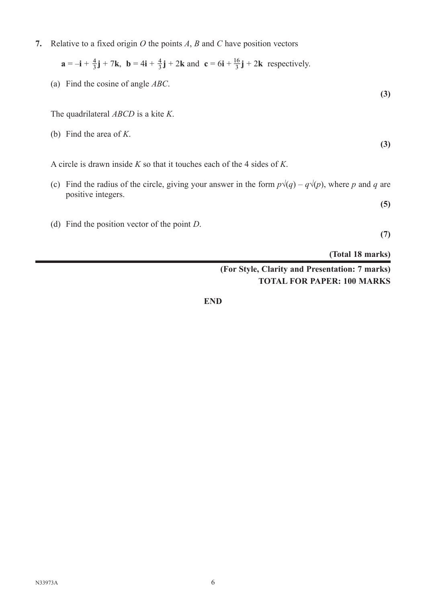**7.** Relative to a fixed origin *O* the points *A*, *B* and *C* have position vectors

**a** =  $-i + \frac{4}{3}j + 7k$ , **b** = 4**i** +  $\frac{4}{3}j + 2k$  and **c** = 6**i** +  $\frac{16}{3}j + 2k$  respectively.

(a) Find the cosine of angle *ABC*.

The quadrilateral *ABCD* is a kite *K*.

(b) Find the area of *K*.

**(3)**

**(3)**

A circle is drawn inside *K* so that it touches each of the 4 sides of *K*.

- (c) Find the radius of the circle, giving your answer in the form  $p\sqrt{(q)} q\sqrt{(p)}$ , where *p* and *q* are positive integers.
- (d) Find the position vector of the point *D*.

**(7)**

**(5)**

**(Total 18 marks)**

## **(For Style, Clarity and Presentation: 7 marks) TOTAL FOR PAPER: 100 MARKS**

**END**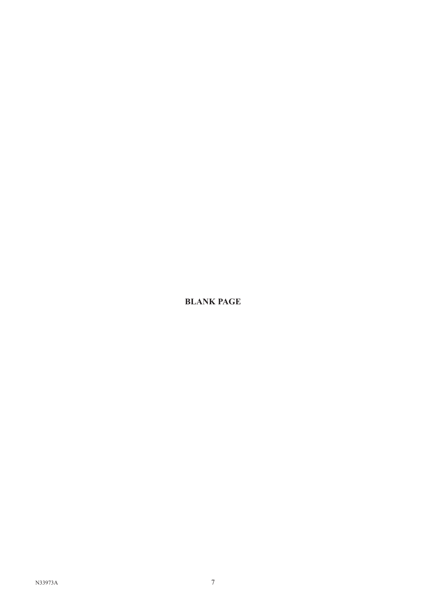**BLANK PAGE**